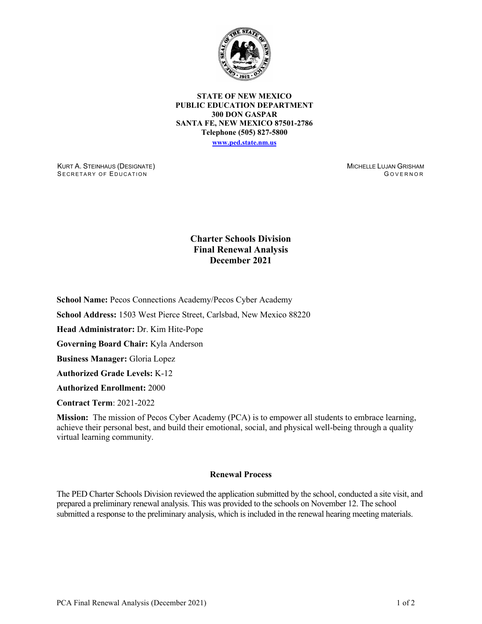

**STATE OF NEW MEXICO PUBLIC EDUCATION DEPARTMENT 300 DON GASPAR SANTA FE, NEW MEXICO 87501-2786 Telephone (505) 827-5800 [www.ped.state.nm.us](http://webnew.ped.state.nm.us/)**

KURT A. STEINHAUS (DESIGNATE) SECRETARY OF EDUCATION

MICHELLE LUJAN GRISHAM G OVERNOR

## **Charter Schools Division Final Renewal Analysis December 2021**

**School Name:** Pecos Connections Academy/Pecos Cyber Academy

**School Address:** 1503 West Pierce Street, Carlsbad, New Mexico 88220

**Head Administrator:** Dr. Kim Hite-Pope

**Governing Board Chair:** Kyla Anderson

**Business Manager:** Gloria Lopez

**Authorized Grade Levels:** K-12

**Authorized Enrollment:** 2000

**Contract Term**: 2021-2022

**Mission:** The mission of Pecos Cyber Academy (PCA) is to empower all students to embrace learning, achieve their personal best, and build their emotional, social, and physical well-being through a quality virtual learning community.

## **Renewal Process**

The PED Charter Schools Division reviewed the application submitted by the school, conducted a site visit, and prepared a preliminary renewal analysis. This was provided to the schools on November 12. The school submitted a response to the preliminary analysis, which is included in the renewal hearing meeting materials.